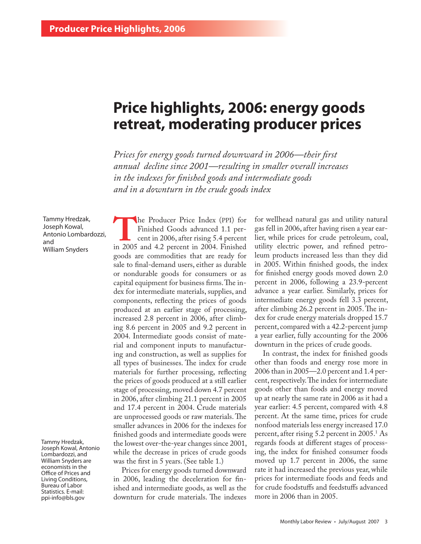# **Price highlights, 2006: energy goods retreat, moderating producer prices**

*Prices for energy goods turned downward in 2006—their first annual decline since 2001—resulting in smaller overall increases in the indexes for finished goods and intermediate goods and in a downturn in the crude goods index*

Tammy Hredzak, Joseph Kowal, Antonio Lombardozzi, and William Snyders

Tammy Hredzak, Joseph Kowal, Antonio Lombardozzi, and William Snyders are economists in the Office of Prices and Living Conditions, Bureau of Labor Statistics. E-mail: ppi-info@bls.gov

**THE Producer Price Index (PPI) for**<br>
Finished Goods advanced 1.1 per-<br>
in 2005 and 4.2 percent in 2004. Finished Finished Goods advanced 1.1 percent in 2006, after rising 5.4 percent goods are commodities that are ready for sale to final-demand users, either as durable or nondurable goods for consumers or as capital equipment for business firms. The index for intermediate materials, supplies, and components, reflecting the prices of goods produced at an earlier stage of processing, increased 2.8 percent in 2006, after climbing 8.6 percent in 2005 and 9.2 percent in 2004. Intermediate goods consist of material and component inputs to manufacturing and construction, as well as supplies for all types of businesses. The index for crude materials for further processing, reflecting the prices of goods produced at a still earlier stage of processing, moved down 4.7 percent in 2006, after climbing 21.1 percent in 2005 and 17.4 percent in 2004. Crude materials are unprocessed goods or raw materials. The smaller advances in 2006 for the indexes for finished goods and intermediate goods were the lowest over-the-year changes since 2001, while the decrease in prices of crude goods was the first in 5 years. (See table 1.)

Prices for energy goods turned downward in 2006, leading the deceleration for finished and intermediate goods, as well as the downturn for crude materials. The indexes

for wellhead natural gas and utility natural gas fell in 2006, after having risen a year earlier, while prices for crude petroleum, coal, utility electric power, and refined petroleum products increased less than they did in 2005. Within finished goods, the index for finished energy goods moved down 2.0 percent in 2006, following a 23.9-percent advance a year earlier. Similarly, prices for intermediate energy goods fell 3.3 percent, after climbing 26.2 percent in 2005. The index for crude energy materials dropped 15.7 percent, compared with a 42.2-percent jump a year earlier, fully accounting for the 2006 downturn in the prices of crude goods.

In contrast, the index for finished goods other than foods and energy rose more in 2006 than in 2005—2.0 percent and 1.4 percent, respectively. The index for intermediate goods other than foods and energy moved up at nearly the same rate in 2006 as it had a year earlier: 4.5 percent, compared with 4.8 percent. At the same time, prices for crude nonfood materials less energy increased 17.0 percent, after rising 5.2 percent in 2005.<sup>1</sup> As regards foods at different stages of processing, the index for finished consumer foods moved up 1.7 percent in 2006, the same rate it had increased the previous year, while prices for intermediate foods and feeds and for crude foodstuffs and feedstuffs advanced more in 2006 than in 2005.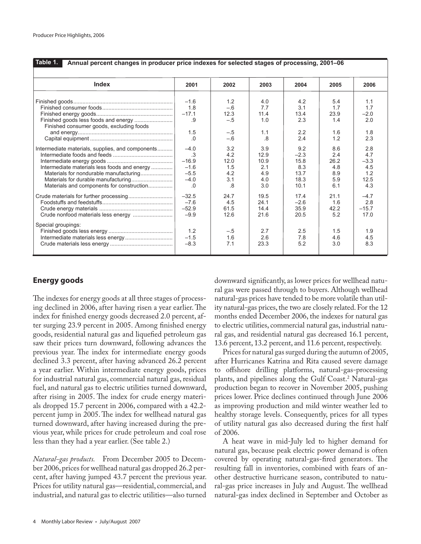| Table 1.<br>Annual percent changes in producer price indexes for selected stages of processing, 2001-06                                                                                 |                                                             |                                                 |                                                 |                                                      |                                                |                                                   |
|-----------------------------------------------------------------------------------------------------------------------------------------------------------------------------------------|-------------------------------------------------------------|-------------------------------------------------|-------------------------------------------------|------------------------------------------------------|------------------------------------------------|---------------------------------------------------|
| Index                                                                                                                                                                                   | 2001                                                        | 2002                                            | 2003                                            | 2004                                                 | 2005                                           | 2006                                              |
| Finished goods less foods and energy<br>Finished consumer goods, excluding foods                                                                                                        | $-1.6$<br>1.8<br>$-17.1$<br>.9<br>1.5<br>.0                 | 1.2<br>$-.6$<br>12.3<br>$-.5$<br>$-.5$<br>$-.6$ | 4.0<br>7.7<br>11.4<br>1.0<br>1.1<br>.8          | 4.2<br>3.1<br>13.4<br>2.3<br>2.2<br>2.4              | 5.4<br>1.7<br>23.9<br>1.4<br>1.6<br>1.2        | 1.1<br>1.7<br>$-2.0$<br>2.0<br>1.8<br>2.3         |
| Intermediate materials, supplies, and components<br>Intermediate materials less foods and energy<br>Materials for nondurable manufacturing<br>Materials and components for construction | $-4.0$<br>.3<br>$-16.9$<br>$-1.6$<br>$-5.5$<br>$-4.0$<br>.0 | 3.2<br>4.2<br>12.0<br>1.5<br>4.2<br>3.1<br>.8   | 3.9<br>12.9<br>10.9<br>2.1<br>4.9<br>4.0<br>3.0 | 9.2<br>$-2.3$<br>15.8<br>8.3<br>13.7<br>18.3<br>10.1 | 8.6<br>2.4<br>26.2<br>4.8<br>8.9<br>5.9<br>6.1 | 2.8<br>4.7<br>$-3.3$<br>4.5<br>1.2<br>12.5<br>4.3 |
|                                                                                                                                                                                         | $-32.5$<br>$-7.6$<br>$-52.9$<br>$-9.9$                      | 24.7<br>4.5<br>61.5<br>12.6                     | 19.5<br>24.1<br>14.4<br>21.6                    | 174<br>$-2.6$<br>35.9<br>20.5                        | 21.1<br>1.6<br>42.2<br>5.2                     | $-4.7$<br>2.8<br>$-15.7$<br>17.0                  |
| Special groupings:                                                                                                                                                                      | 1.2<br>$-1.5$<br>$-8.3$                                     | $-.5$<br>1.6<br>7.1                             | 2.7<br>2.6<br>23.3                              | 2.5<br>7.8<br>5.2                                    | 1.5<br>4.6<br>3.0                              | 1.9<br>4.5<br>8.3                                 |

# **Energy goods**

The indexes for energy goods at all three stages of processing declined in 2006, after having risen a year earlier. The index for finished energy goods decreased 2.0 percent, after surging 23.9 percent in 2005. Among finished energy goods, residential natural gas and liquefied petroleum gas saw their prices turn downward, following advances the previous year. The index for intermediate energy goods declined 3.3 percent, after having advanced 26.2 percent a year earlier. Within intermediate energy goods, prices for industrial natural gas, commercial natural gas, residual fuel, and natural gas to electric utilities turned downward, after rising in 2005. The index for crude energy materials dropped 15.7 percent in 2006, compared with a 42.2 percent jump in 2005. The index for wellhead natural gas turned downward, after having increased during the previous year, while prices for crude petroleum and coal rose less than they had a year earlier. (See table 2.)

*Natural-gas products.* From December 2005 to December 2006, prices for wellhead natural gas dropped 26.2 percent, after having jumped 43.7 percent the previous year. Prices for utility natural gas—residential, commercial, and industrial, and natural gas to electric utilities—also turned downward significantly, as lower prices for wellhead natural gas were passed through to buyers. Although wellhead natural-gas prices have tended to be more volatile than utility natural-gas prices, the two are closely related. For the 12 months ended December 2006, the indexes for natural gas to electric utilities, commercial natural gas, industrial natural gas, and residential natural gas decreased 16.1 percent, 13.6 percent, 13.2 percent, and 11.6 percent, respectively.

Prices for natural gas surged during the autumn of 2005, after Hurricanes Katrina and Rita caused severe damage to offshore drilling platforms, natural-gas-processing plants, and pipelines along the Gulf Coast.2 Natural-gas production began to recover in November 2005, pushing prices lower. Price declines continued through June 2006 as improving production and mild winter weather led to healthy storage levels. Consequently, prices for all types of utility natural gas also decreased during the first half of 2006.

A heat wave in mid-July led to higher demand for natural gas, because peak electric power demand is often covered by operating natural-gas-fired generators. The resulting fall in inventories, combined with fears of another destructive hurricane season, contributed to natural-gas price increases in July and August. The wellhead natural-gas index declined in September and October as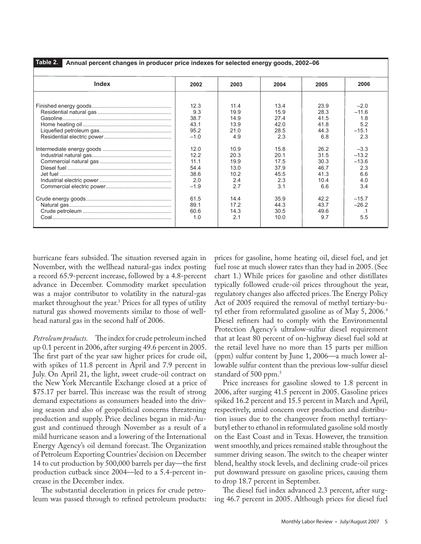**Table 2. Annual percent changes in producer price indexes for selected energy goods, 2002–06**

| <b>Index</b> | 2002   | 2003 | 2004 | 2005 | 2006      |
|--------------|--------|------|------|------|-----------|
|              | 12.3   | 114  | 13.4 | 23.9 | $-2.0$    |
|              | 9.3    | 19.9 | 15.9 | 28.3 | $-11.6$   |
|              | 38.7   | 14.9 | 274  | 41.5 | 1.8       |
|              | 43.1   | 13.9 | 42.0 | 41.8 | 5.2       |
|              | 95.2   | 21.0 | 28.5 | 44.3 | $-15.1$   |
|              | $-1.0$ | 4.9  | 2.3  | 6.8  | 2.3       |
|              | 12.0   | 10.9 | 15.8 | 26.2 | $-3.3$    |
|              | 12.2   | 20.3 | 20.1 | 31.5 | $-13.2$   |
|              | 11.1   | 19.9 | 17.5 | 30.3 | $-13.6$   |
|              | 54.4   | 13.0 | 37.9 | 46.7 | 2.3       |
|              | 38.6   | 10.2 | 45.5 | 41.3 | 6.6       |
|              | 2.0    | 2.4  | 2.3  | 10.4 | 4.0       |
|              | $-1.9$ | 2.7  | 3.1  | 6.6  | 3.4       |
|              | 61.5   | 14.4 | 35.9 | 42.2 | $-15.7$   |
|              | 89.1   | 17.2 | 44.3 | 43.7 | $-26.2$   |
|              | 60.6   | 14.3 | 30.5 | 49.6 | $\cdot$ 1 |
|              | 1.0    | 2.1  | 10.0 | 9.7  | 5.5       |

hurricane fears subsided. The situation reversed again in November, with the wellhead natural-gas index posting a record 65.9-percent increase, followed by a 4.8-percent advance in December. Commodity market speculation was a major contributor to volatility in the natural-gas market throughout the year.3 Prices for all types of utility natural gas showed movements similar to those of wellhead natural gas in the second half of 2006.

*Petroleum products.* The index for crude petroleum inched up 0.1 percent in 2006, after surging 49.6 percent in 2005. The first part of the year saw higher prices for crude oil, with spikes of 11.8 percent in April and 7.9 percent in July. On April 21, the light, sweet crude-oil contract on the New York Mercantile Exchange closed at a price of \$75.17 per barrel. This increase was the result of strong demand expectations as consumers headed into the driving season and also of geopolitical concerns threatening production and supply. Price declines began in mid-August and continued through November as a result of a mild hurricane season and a lowering of the International Energy Agency's oil demand forecast. The Organization of Petroleum Exporting Countries' decision on December 14 to cut production by 500,000 barrels per day—the first production cutback since 2004—led to a 5.4-percent increase in the December index.

The substantial deceleration in prices for crude petroleum was passed through to refined petroleum products:

prices for gasoline, home heating oil, diesel fuel, and jet fuel rose at much slower rates than they had in 2005. (See chart 1.) While prices for gasoline and other distillates typically followed crude-oil prices throughout the year, regulatory changes also affected prices. The Energy Policy Act of 2005 required the removal of methyl tertiary-butyl ether from reformulated gasoline as of May 5, 2006.<sup>4</sup> Diesel refiners had to comply with the Environmental Protection Agency's ultralow-sulfur diesel requirement that at least 80 percent of on-highway diesel fuel sold at the retail level have no more than 15 parts per million (ppm) sulfur content by June 1, 2006—a much lower allowable sulfur content than the previous low-sulfur diesel standard of 500 ppm.<sup>5</sup>

Price increases for gasoline slowed to 1.8 percent in 2006, after surging 41.5 percent in 2005. Gasoline prices spiked 16.2 percent and 15.5 percent in March and April, respectively, amid concern over production and distribution issues due to the changeover from methyl tertiarybutyl ether to ethanol in reformulated gasoline sold mostly on the East Coast and in Texas. However, the transition went smoothly, and prices remained stable throughout the summer driving season. The switch to the cheaper winter blend, healthy stock levels, and declining crude-oil prices put downward pressure on gasoline prices, causing them to drop 18.7 percent in September.

The diesel fuel index advanced 2.3 percent, after surging 46.7 percent in 2005. Although prices for diesel fuel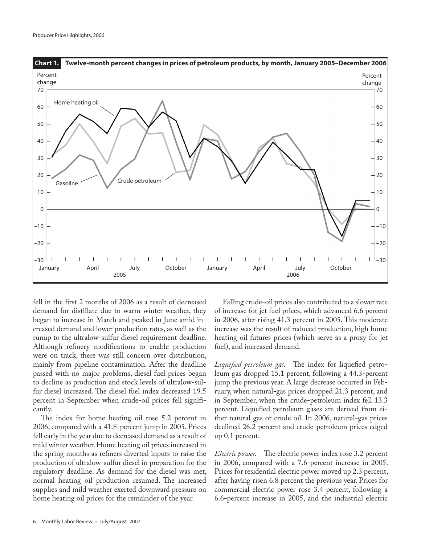

fell in the first 2 months of 2006 as a result of decreased demand for distillate due to warm winter weather, they began to increase in March and peaked in June amid increased demand and lower production rates, as well as the runup to the ultralow-sulfur diesel requirement deadline. Although refinery modifications to enable production were on track, there was still concern over distribution, mainly from pipeline contamination. After the deadline passed with no major problems, diesel fuel prices began to decline as production and stock levels of ultralow-sulfur diesel increased. The diesel fuel index decreased 19.5 percent in September when crude-oil prices fell significantly.

The index for home heating oil rose 5.2 percent in 2006, compared with a 41.8-percent jump in 2005. Prices fell early in the year due to decreased demand as a result of mild winter weather. Home heating oil prices increased in the spring months as refiners diverted inputs to raise the production of ultralow-sulfur diesel in preparation for the regulatory deadline. As demand for the diesel was met, normal heating oil production resumed. The increased supplies and mild weather exerted downward pressure on home heating oil prices for the remainder of the year.

Falling crude-oil prices also contributed to a slower rate of increase for jet fuel prices, which advanced 6.6 percent in 2006, after rising 41.3 percent in 2005. This moderate increase was the result of reduced production, high home heating oil futures prices (which serve as a proxy for jet fuel), and increased demand.

*Liquefied petroleum gas.* The index for liquefied petroleum gas dropped 15.1 percent, following a 44.3-percent jump the previous year. A large decrease occurred in February, when natural-gas prices dropped 21.3 percent, and in September, when the crude-petroleum index fell 13.3 percent. Liquefied petroleum gases are derived from either natural gas or crude oil. In 2006, natural-gas prices declined 26.2 percent and crude-petroleum prices edged up 0.1 percent.

*Electric power.* The electric power index rose 3.2 percent in 2006, compared with a 7.6-percent increase in 2005. Prices for residential electric power moved up 2.3 percent, after having risen 6.8 percent the previous year. Prices for commercial electric power rose 3.4 percent, following a 6.6-percent increase in 2005, and the industrial electric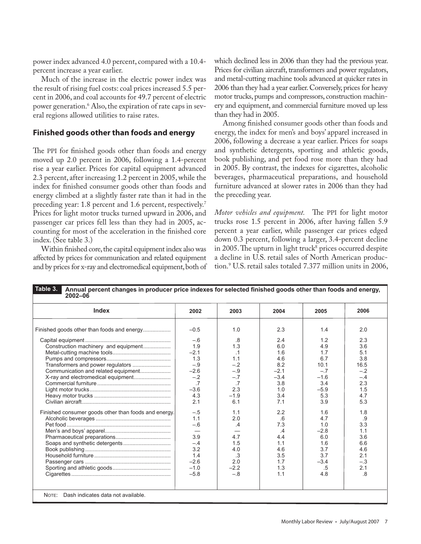power index advanced 4.0 percent, compared with a 10.4 percent increase a year earlier.

Much of the increase in the electric power index was the result of rising fuel costs: coal prices increased 5.5 percent in 2006, and coal accounts for 49.7 percent of electric power generation.6 Also, the expiration of rate caps in several regions allowed utilities to raise rates.

### **Finished goods other than foods and energy**

The PPI for finished goods other than foods and energy moved up 2.0 percent in 2006, following a 1.4-percent rise a year earlier. Prices for capital equipment advanced 2.3 percent, after increasing 1.2 percent in 2005, while the index for finished consumer goods other than foods and energy climbed at a slightly faster rate than it had in the preceding year: 1.8 percent and 1.6 percent, respectively.<sup>7</sup> Prices for light motor trucks turned upward in 2006, and passenger car prices fell less than they had in 2005, accounting for most of the acceleration in the finished core index. (See table 3.)

Within finished core, the capital equipment index also was affected by prices for communication and related equipment and by prices for x-ray and electromedical equipment, both of which declined less in 2006 than they had the previous year. Prices for civilian aircraft, transformers and power regulators, and metal-cutting machine tools advanced at quicker rates in 2006 than they had a year earlier. Conversely, prices for heavy motor trucks, pumps and compressors, construction machinery and equipment, and commercial furniture moved up less than they had in 2005.

Among finished consumer goods other than foods and energy, the index for men's and boys' apparel increased in 2006, following a decrease a year earlier. Prices for soaps and synthetic detergents, sporting and athletic goods, book publishing, and pet food rose more than they had in 2005. By contrast, the indexes for cigarettes, alcoholic beverages, pharmaceutical preparations, and household furniture advanced at slower rates in 2006 than they had the preceding year.

*Motor vehicles and equipment.* The PPI for light motor trucks rose 1.5 percent in 2006, after having fallen 5.9 percent a year earlier, while passenger car prices edged down 0.3 percent, following a larger, 3.4-percent decline in 2005. The upturn in light truck $^{\rm 8}$  prices occurred despite a decline in U.S. retail sales of North American production.9 U.S. retail sales totaled 7.377 million units in 2006,

| Index                                                | 2002                     | 2003            | 2004   | 2005   | 2006  |
|------------------------------------------------------|--------------------------|-----------------|--------|--------|-------|
|                                                      | $-0.5$                   | 1.0             | 2.3    | 1.4    | 2.0   |
|                                                      | $-.6$                    | .8              | 2.4    | 1.2    | 2.3   |
| Construction machinery and equipment                 | 1.9                      | 1.3             | 6.0    | 4.9    | 3.6   |
|                                                      | $-2.1$                   | $\cdot$ 1       | 1.6    | 1.7    | 5.1   |
|                                                      | 1.3                      | 1.1             | 4.6    | 6.7    | 3.8   |
| Transformers and power regulators                    | $-.9$                    | $-.2$           | 8.2    | 10.1   | 16.5  |
|                                                      | $-2.6$                   | $-.9$           | $-21$  | $-7$   | $-2$  |
|                                                      | $-.2$                    | $-.7$           | $-3.4$ | $-1.6$ | $-.4$ |
|                                                      | .7                       | $\overline{.7}$ | 3.8    | 3.4    | 2.3   |
|                                                      | $-3.6$                   | 2.3             | 1.0    | $-5.9$ | 1.5   |
|                                                      | 4.3                      | $-1.9$          | 3.4    | 5.3    | 4.7   |
|                                                      | 2.1                      | 6.1             | 7.1    | 3.9    | 5.3   |
| Finished consumer goods other than foods and energy. | $-.5$                    | 1.1             | 2.2    | 1.6    | 1.8   |
|                                                      | 1.1                      | 2.0             | .6     | 4.7    | .9    |
|                                                      | $-.6$                    | .4              | 7.3    | 1.0    | 3.3   |
|                                                      | $\overline{\phantom{0}}$ |                 | .4     | $-2.8$ | 1.1   |
|                                                      | 3.9                      | 4.7             | 4.4    | 6.0    | 3.6   |
|                                                      | $-.4$                    | 1.5             | 1.1    | 1.6    | 6.6   |
|                                                      | 3.2                      | 4.0             | 4.6    | 3.7    | 4.6   |
|                                                      | 1.4                      | .3              | 3.5    | 3.7    | 2.1   |
|                                                      | $-2.6$                   | 2.0             | 1.7    | $-3.4$ | $-.3$ |
|                                                      | $-1.0$                   | $-2.2$          | 1.3    | .5     | 2.1   |
|                                                      | $-5.8$                   | $-.8$           | 1.1    | 4.8    | .8    |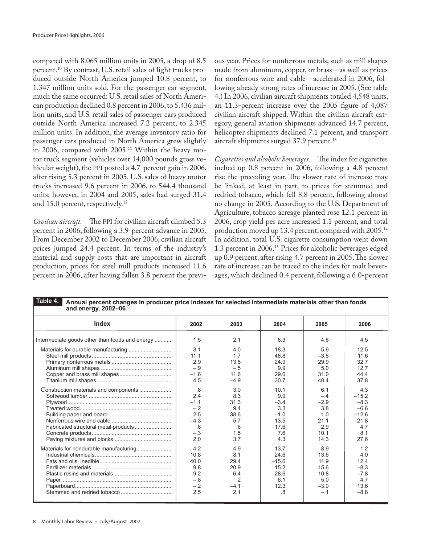compared with 8.065 million units in 2005, a drop of 8.5 percent.10 By contrast, U.S. retail sales of light trucks produced outside North America jumped 10.8 percent, to 1.347 million units sold. For the passenger car segment, much the same occurred: U.S. retail sales of North American production declined 0.8 percent in 2006, to 5.436 million units, and U.S. retail sales of passenger cars produced outside North America increased 7.2 percent, to 2.345 million units. In addition, the average inventory ratio for passenger cars produced in North America grew slightly in 2006, compared with 2005.11 Within the heavy motor truck segment (vehicles over 14,000 pounds gross vehicular weight), the PPI posted a 4.7-percent gain in 2006, after rising 5.3 percent in 2005. U.S. sales of heavy motor trucks increased 9.6 percent in 2006, to 544.4 thousand units; however, in 2004 and 2005, sales had surged 31.4 and 15.0 percent, respectively.<sup>12</sup>

*Civilian aircraft.* The PPI for civilian aircraft climbed 5.3 percent in 2006, following a 3.9-percent advance in 2005. From December 2002 to December 2006, civilian aircraft prices jumped 24.4 percent. In terms of the industry's material and supply costs that are important in aircraft production, prices for steel mill products increased 11.6 percent in 2006, after having fallen 3.8 percent the previous year. Prices for nonferrous metals, such as mill shapes made from aluminum, copper, or brass—as well as prices for nonferrous wire and cable—accelerated in 2006, following already strong rates of increase in 2005. (See table 4.) In 2006, civilian aircraft shipments totaled 4,548 units, an 11.3-percent increase over the 2005 figure of 4,087 civilian aircraft shipped. Within the civilian aircraft category, general aviation shipments advanced 14.7 percent, helicopter shipments declined 7.1 percent, and transport aircraft shipments surged 37.9 percent.<sup>13</sup>

*Cigarettes and alcoholic beverages.* The index for cigarettes inched up 0.8 percent in 2006, following a 4.8-percent rise the preceding year. The slower rate of increase may be linked, at least in part, to prices for stemmed and redried tobacco, which fell 8.8 percent, following almost no change in 2005. According to the U.S. Department of Agriculture, tobacco acreage planted rose 12.1 percent in 2006, crop yield per acre increased 1.1 percent, and total production moved up 13.4 percent, compared with 2005.14 In addition, total U.S. cigarette consumption went down 1.3 percent in 2006.15 Prices for alcoholic beverages edged up 0.9 percent, after rising 4.7 percent in 2005. The slower rate of increase can be traced to the index for malt beverages, which declined 0.4 percent, following a 6.0-percent

| <b>Index</b>                                   | 2002   | 2003    | 2004    | 2005   | 2006    |
|------------------------------------------------|--------|---------|---------|--------|---------|
| Intermediate goods other than foods and energy | 1.5    | 2.1     | 8.3     | 4.8    | 4.5     |
|                                                | 3.1    | 4.0     | 18.3    | 5.9    | 12.5    |
|                                                | 11.1   | 1.7     | 48.8    | $-3.8$ | 11.6    |
|                                                | 2.9    | 13.5    | 24.9    | 29.9   | 32.7    |
|                                                | $-.9$  | $-.5$   | 9.9     | 5.0    | 12.7    |
|                                                | $-1.6$ | 11.6    | 29.6    | 31.0   | 44.4    |
|                                                | 4.5    | $-4.9$  | 30.7    | 48.4   | 37.8    |
| Construction materials and components          | .8     | 3.0     | 10.1    | 6.1    | 4.3     |
|                                                | 2.4    | 8.3     | 9.9     | $-.4$  | $-15.2$ |
|                                                | $-1.1$ | 31.3    | $-3.4$  | $-2.9$ | $-8.3$  |
|                                                | $-.2$  | 9.4     | 3.3     | 3.8    | $-6.6$  |
|                                                | 2.5    | 38.6    | $-1.0$  | 1.0    | $-12.6$ |
|                                                | $-4.3$ | 5.7     | 13.5    | 21.1   | 21.8    |
|                                                | .8     | .6      | 17.6    | 2.9    | 4.7     |
|                                                | $-.3$  | 1.5     | 7.6     | 10.1   | 8.1     |
|                                                | 2.0    | 3.7     | 4.3     | 14.3   | 27.6    |
| Materials for nondurable manufacturing         | 4.2    | 4.9     | 13.7    | 8.9    | 1.2     |
|                                                | 10.8   | 8.1     | 24.6    | 13.6   | 4.0     |
|                                                | 40.0   | 29.4    | $-15.6$ | 11.9   | 12.4    |
|                                                | 9.8    | 20.9    | 15.2    | 15.6   | $-8.3$  |
|                                                | 9.2    | 6.4     | 28.6    | 10.8   | $-7.8$  |
|                                                | $-.8$  | $\cdot$ | 6.1     | 5.0    | 4.7     |
|                                                | $-.2$  | $-4.1$  | 12.3    | $-3.0$ | 13.6    |
|                                                | 2.5    | 2.1     | .8      | $-.1$  | $-8.8$  |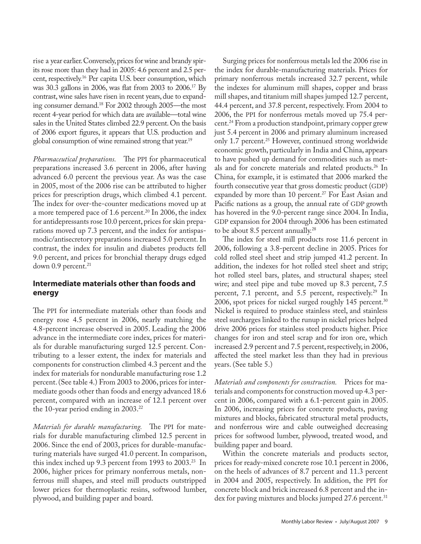rise a year earlier. Conversely, prices for wine and brandy spirits rose more than they had in 2005: 4.6 percent and 2.5 percent, respectively.<sup>16</sup> Per capita U.S. beer consumption, which was 30.3 gallons in 2006, was flat from 2003 to 2006.17 By contrast, wine sales have risen in recent years, due to expanding consumer demand.18 For 2002 through 2005—the most recent 4-year period for which data are available—total wine sales in the United States climbed 22.9 percent. On the basis of 2006 export figures, it appears that U.S. production and global consumption of wine remained strong that year.19

*Pharmaceutical preparations.* The PPI for pharmaceutical preparations increased 3.6 percent in 2006, after having advanced 6.0 percent the previous year. As was the case in 2005, most of the 2006 rise can be attributed to higher prices for prescription drugs, which climbed 4.1 percent. The index for over-the-counter medications moved up at a more tempered pace of 1.6 percent.<sup>20</sup> In 2006, the index for antidepressants rose 10.0 percent, prices for skin preparations moved up 7.3 percent, and the index for antispasmodic/antisecretory preparations increased 5.0 percent. In contrast, the index for insulin and diabetes products fell 9.0 percent, and prices for bronchial therapy drugs edged down  $0.9$  percent.<sup>21</sup>

## **Intermediate materials other than foods and energy**

The PPI for intermediate materials other than foods and energy rose 4.5 percent in 2006, nearly matching the 4.8-percent increase observed in 2005. Leading the 2006 advance in the intermediate core index, prices for materials for durable manufacturing surged 12.5 percent. Contributing to a lesser extent, the index for materials and components for construction climbed 4.3 percent and the index for materials for nondurable manufacturing rose 1.2 percent. (See table 4.) From 2003 to 2006, prices for intermediate goods other than foods and energy advanced 18.6 percent, compared with an increase of 12.1 percent over the 10-year period ending in 2003.<sup>22</sup>

*Materials for durable manufacturing.* The PPI for materials for durable manufacturing climbed 12.5 percent in 2006. Since the end of 2003, prices for durable-manufacturing materials have surged 41.0 percent. In comparison, this index inched up 9.3 percent from 1993 to  $2003<sup>23</sup>$  In 2006, higher prices for primary nonferrous metals, nonferrous mill shapes, and steel mill products outstripped lower prices for thermoplastic resins, softwood lumber, plywood, and building paper and board.

Surging prices for nonferrous metals led the 2006 rise in the index for durable-manufacturing materials. Prices for primary nonferrous metals increased 32.7 percent, while the indexes for aluminum mill shapes, copper and brass mill shapes, and titanium mill shapes jumped 12.7 percent, 44.4 percent, and 37.8 percent, respectively. From 2004 to 2006, the PPI for nonferrous metals moved up 75.4 percent.24 From a production standpoint, primary copper grew just 5.4 percent in 2006 and primary aluminum increased only 1.7 percent.<sup>25</sup> However, continued strong worldwide economic growth, particularly in India and China, appears to have pushed up demand for commodities such as metals and for concrete materials and related products.26 In China, for example, it is estimated that 2006 marked the fourth consecutive year that gross domestic product (GDP) expanded by more than 10 percent.<sup>27</sup> For East Asian and Pacific nations as a group, the annual rate of GDP growth has hovered in the 9.0-percent range since 2004. In India, GDP expansion for 2004 through 2006 has been estimated to be about 8.5 percent annually.<sup>28</sup>

The index for steel mill products rose 11.6 percent in 2006, following a 3.8-percent decline in 2005. Prices for cold rolled steel sheet and strip jumped 41.2 percent. In addition, the indexes for hot rolled steel sheet and strip; hot rolled steel bars, plates, and structural shapes; steel wire; and steel pipe and tube moved up 8.3 percent, 7.5 percent, 7.1 percent, and 5.5 percent, respectively.<sup>29</sup> In 2006, spot prices for nickel surged roughly 145 percent.<sup>30</sup> Nickel is required to produce stainless steel, and stainless steel surcharges linked to the runup in nickel prices helped drive 2006 prices for stainless steel products higher. Price changes for iron and steel scrap and for iron ore, which increased 2.9 percent and 7.5 percent, respectively, in 2006, affected the steel market less than they had in previous years. (See table 5.)

*Materials and components for construction.* Prices for materials and components for construction moved up 4.3 percent in 2006, compared with a 6.1-percent gain in 2005. In 2006, increasing prices for concrete products, paving mixtures and blocks, fabricated structural metal products, and nonferrous wire and cable outweighed decreasing prices for softwood lumber, plywood, treated wood, and building paper and board.

Within the concrete materials and products sector, prices for ready-mixed concrete rose 10.1 percent in 2006, on the heels of advances of 8.7 percent and 11.3 percent in 2004 and 2005, respectively. In addition, the PPI for concrete block and brick increased 6.8 percent and the index for paving mixtures and blocks jumped 27.6 percent.<sup>31</sup>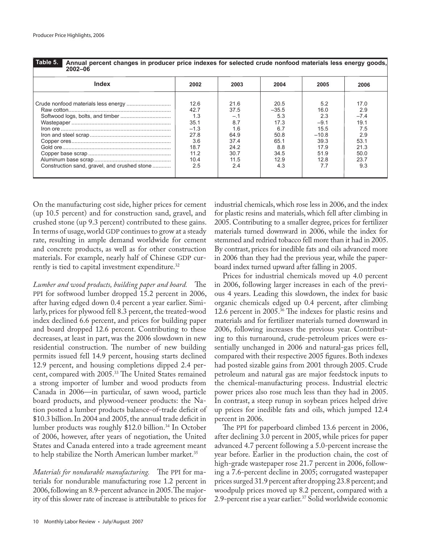| Table 5. | Αn |
|----------|----|
|          |    |

**Annual percent changes in producer price indexes for selected crude nonfood materials less energy goods, 2002–06**

| Index                                        | 2002                                                                                | 2003                                                                           | 2004                                                                                | 2005                                                                                  | 2006                                                                              |
|----------------------------------------------|-------------------------------------------------------------------------------------|--------------------------------------------------------------------------------|-------------------------------------------------------------------------------------|---------------------------------------------------------------------------------------|-----------------------------------------------------------------------------------|
| Construction sand, gravel, and crushed stone | 12.6<br>42.7<br>1.3<br>35.1<br>$-1.3$<br>27.8<br>3.6<br>18.7<br>11.2<br>10.4<br>2.5 | 21.6<br>37.5<br>—."<br>8.7<br>16<br>64.9<br>37.4<br>24.2<br>307<br>11.5<br>2.4 | 20.5<br>$-35.5$<br>5.3<br>17.3<br>6.7<br>50.8<br>65.1<br>8.8<br>34.5<br>12.9<br>4.3 | 5.2<br>16.0<br>2.3<br>$-9.1$<br>15.5<br>$-10.8$<br>39.3<br>17.9<br>51.9<br>12.8<br>77 | 17.0<br>2.9<br>$-74$<br>19.1<br>7.5<br>2.9<br>53.1<br>21.3<br>50.0<br>23.7<br>9.3 |
|                                              |                                                                                     |                                                                                |                                                                                     |                                                                                       |                                                                                   |

On the manufacturing cost side, higher prices for cement (up 10.5 percent) and for construction sand, gravel, and crushed stone (up 9.3 percent) contributed to these gains. In terms of usage, world GDP continues to grow at a steady rate, resulting in ample demand worldwide for cement and concrete products, as well as for other construction materials. For example, nearly half of Chinese GDP currently is tied to capital investment expenditure.<sup>32</sup>

*Lumber and wood products, building paper and board.* The PPI for softwood lumber dropped 15.2 percent in 2006, after having edged down 0.4 percent a year earlier. Similarly, prices for plywood fell 8.3 percent, the treated-wood index declined 6.6 percent, and prices for building paper and board dropped 12.6 percent. Contributing to these decreases, at least in part, was the 2006 slowdown in new residential construction. The number of new building permits issued fell 14.9 percent, housing starts declined 12.9 percent, and housing completions dipped 2.4 percent, compared with 2005.33 The United States remained a strong importer of lumber and wood products from Canada in 2006—in particular, of sawn wood, particle board products, and plywood-veneer products: the Nation posted a lumber products balance-of-trade deficit of \$10.3 billion. In 2004 and 2005, the annual trade deficit in lumber products was roughly \$12.0 billion.34 In October of 2006, however, after years of negotiation, the United States and Canada entered into a trade agreement meant to help stabilize the North American lumber market.<sup>35</sup>

*Materials for nondurable manufacturing.* The PPI for materials for nondurable manufacturing rose 1.2 percent in 2006, following an 8.9-percent advance in 2005. The majority of this slower rate of increase is attributable to prices for

industrial chemicals, which rose less in 2006, and the index for plastic resins and materials, which fell after climbing in 2005. Contributing to a smaller degree, prices for fertilizer materials turned downward in 2006, while the index for stemmed and redried tobacco fell more than it had in 2005. By contrast, prices for inedible fats and oils advanced more in 2006 than they had the previous year, while the paperboard index turned upward after falling in 2005.

Prices for industrial chemicals moved up 4.0 percent in 2006, following larger increases in each of the previous 4 years. Leading this slowdown, the index for basic organic chemicals edged up 0.4 percent, after climbing 12.6 percent in 2005.36 The indexes for plastic resins and materials and for fertilizer materials turned downward in 2006, following increases the previous year. Contributing to this turnaround, crude-petroleum prices were essentially unchanged in 2006 and natural-gas prices fell, compared with their respective 2005 figures. Both indexes had posted sizable gains from 2001 through 2005. Crude petroleum and natural gas are major feedstock inputs to the chemical-manufacturing process. Industrial electric power prices also rose much less than they had in 2005. In contrast, a steep runup in soybean prices helped drive up prices for inedible fats and oils, which jumped 12.4 percent in 2006.

The PPI for paperboard climbed 13.6 percent in 2006, after declining 3.0 percent in 2005, while prices for paper advanced 4.7 percent following a 5.0-percent increase the year before. Earlier in the production chain, the cost of high-grade wastepaper rose 21.7 percent in 2006, following a 7.6-percent decline in 2005; corrugated wastepaper prices surged 31.9 percent after dropping 23.8 percent; and woodpulp prices moved up 8.2 percent, compared with a 2.9-percent rise a year earlier.<sup>37</sup> Solid worldwide economic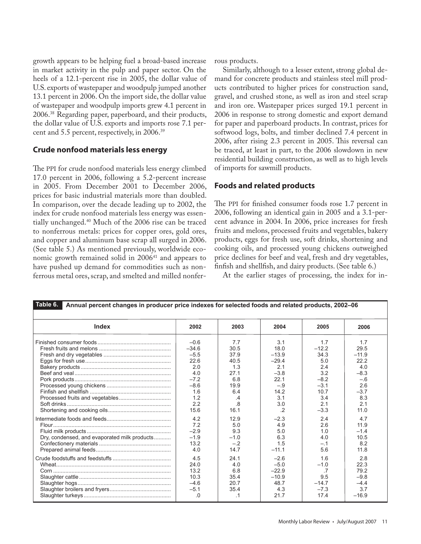growth appears to be helping fuel a broad-based increase in market activity in the pulp and paper sector. On the heels of a 12.1-percent rise in 2005, the dollar value of U.S. exports of wastepaper and woodpulp jumped another 13.1 percent in 2006. On the import side, the dollar value of wastepaper and woodpulp imports grew 4.1 percent in 2006.38 Regarding paper, paperboard, and their products, the dollar value of U.S. exports and imports rose 7.1 percent and 5.5 percent, respectively, in 2006.39

### **Crude nonfood materials less energy**

The PPI for crude nonfood materials less energy climbed 17.0 percent in 2006, following a 5.2-percent increase in 2005. From December 2001 to December 2006, prices for basic industrial materials more than doubled. In comparison, over the decade leading up to 2002, the index for crude nonfood materials less energy was essentially unchanged.40 Much of the 2006 rise can be traced to nonferrous metals: prices for copper ores, gold ores, and copper and aluminum base scrap all surged in 2006. (See table 5.) As mentioned previously, worldwide economic growth remained solid in 2006<sup>41</sup> and appears to have pushed up demand for commodities such as nonferrous metal ores, scrap, and smelted and milled nonferrous products.

Similarly, although to a lesser extent, strong global demand for concrete products and stainless steel mill products contributed to higher prices for construction sand, gravel, and crushed stone, as well as iron and steel scrap and iron ore. Wastepaper prices surged 19.1 percent in 2006 in response to strong domestic and export demand for paper and paperboard products. In contrast, prices for softwood logs, bolts, and timber declined 7.4 percent in 2006, after rising 2.3 percent in 2005. This reversal can be traced, at least in part, to the 2006 slowdown in new residential building construction, as well as to high levels of imports for sawmill products.

## **Foods and related products**

The PPI for finished consumer foods rose 1.7 percent in 2006, following an identical gain in 2005 and a 3.1-percent advance in 2004. In 2006, price increases for fresh fruits and melons, processed fruits and vegetables, bakery products, eggs for fresh use, soft drinks, shortening and cooking oils, and processed young chickens outweighed price declines for beef and veal, fresh and dry vegetables, finfish and shellfish, and dairy products. (See table 6.)

At the earlier stages of processing, the index for in-

| Table 6.<br>Annual percent changes in producer price indexes for selected foods and related products, 2002-06 |         |                |         |           |         |
|---------------------------------------------------------------------------------------------------------------|---------|----------------|---------|-----------|---------|
| Index                                                                                                         | 2002    | 2003           | 2004    | 2005      | 2006    |
|                                                                                                               | $-0.6$  | 7.7            | 3.1     | 1.7       | 1.7     |
|                                                                                                               | $-34.6$ | 30.5           | 18.0    | $-12.2$   | 29.5    |
|                                                                                                               | $-5.5$  | 37.9           | $-13.9$ | 34.3      | $-11.9$ |
|                                                                                                               | 22.6    | 40.5           | $-29.4$ | 5.0       | 22.2    |
|                                                                                                               | 2.0     | 1.3            | 2.1     | 2.4       | 4.0     |
|                                                                                                               | 4.0     | 27.1           | $-3.8$  | 3.2       | $-8.3$  |
|                                                                                                               | $-7.2$  | 6.8            | 22.1    | $-8.2$    | $-.6$   |
|                                                                                                               | $-8.6$  | 19.9           | $-.9$   | $-3.1$    | 2.6     |
|                                                                                                               | 1.6     | 6.4            | 14.2    | 10.7      | $-3.7$  |
|                                                                                                               | 1.2     | .4             | 3.1     | 3.4       | 8.3     |
|                                                                                                               | 2.2     | $\overline{8}$ | 3.0     | 2.1       | 2.1     |
|                                                                                                               | 15.6    | 16.1           | $\cdot$ | $-3.3$    | 11.0    |
|                                                                                                               | 4.2     | 12.9           | $-2.3$  | 2.4       | 4.7     |
|                                                                                                               | 7.2     | 5.0            | 4.9     | 2.6       | 11.9    |
|                                                                                                               | $-2.9$  | 9.3            | 5.0     | 1.0       | $-1.4$  |
| Dry, condensed, and evaporated milk products                                                                  | $-1.9$  | $-1.0$         | 6.3     | 4.0       | 10.5    |
|                                                                                                               | 13.2    | $-.2$          | 1.5     | $-.1$     | 8.2     |
|                                                                                                               | 4.0     | 14.7           | $-11.1$ | 5.6       | 11.8    |
|                                                                                                               | 4.5     | 24.1           | $-2.6$  | 1.6       | 2.8     |
|                                                                                                               | 24.0    | 4.0            | $-5.0$  | $-1.0$    | 22.3    |
|                                                                                                               | 13.2    | 6.8            | $-22.9$ | $\cdot$ 7 | 79.2    |
|                                                                                                               | 10.3    | 35.4           | $-10.9$ | 9.5       | $-9.8$  |
|                                                                                                               | $-4.6$  | 20.7           | 48.7    | $-14.7$   | $-4.4$  |
|                                                                                                               | $-5.1$  | 35.4           | 4.3     | $-7.3$    | 3.7     |
|                                                                                                               | .0      | $\cdot$ 1      | 21.7    | 17.4      | $-16.9$ |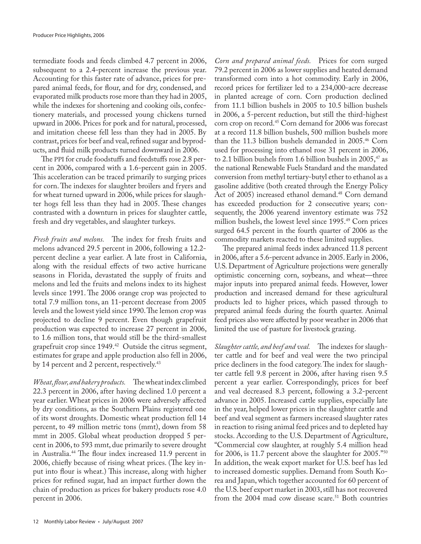termediate foods and feeds climbed 4.7 percent in 2006, subsequent to a 2.4-percent increase the previous year. Accounting for this faster rate of advance, prices for prepared animal feeds, for flour, and for dry, condensed, and evaporated milk products rose more than they had in 2005, while the indexes for shortening and cooking oils, confectionery materials, and processed young chickens turned upward in 2006. Prices for pork and for natural, processed, and imitation cheese fell less than they had in 2005. By contrast, prices for beef and veal, refined sugar and byproducts, and fluid milk products turned downward in 2006.

The PPI for crude foodstuffs and feedstuffs rose 2.8 percent in 2006, compared with a 1.6-percent gain in 2005. This acceleration can be traced primarily to surging prices for corn. The indexes for slaughter broilers and fryers and for wheat turned upward in 2006, while prices for slaughter hogs fell less than they had in 2005. These changes contrasted with a downturn in prices for slaughter cattle, fresh and dry vegetables, and slaughter turkeys.

*Fresh fruits and melons.* The index for fresh fruits and melons advanced 29.5 percent in 2006, following a 12.2 percent decline a year earlier. A late frost in California, along with the residual effects of two active hurricane seasons in Florida, devastated the supply of fruits and melons and led the fruits and melons index to its highest levels since 1991. The 2006 orange crop was projected to total 7.9 million tons, an 11-percent decrease from 2005 levels and the lowest yield since 1990. The lemon crop was projected to decline 9 percent. Even though grapefruit production was expected to increase 27 percent in 2006, to 1.6 million tons, that would still be the third-smallest grapefruit crop since 1949.<sup>42</sup> Outside the citrus segment, estimates for grape and apple production also fell in 2006, by 14 percent and 2 percent, respectively.<sup>43</sup>

*Wheat, flour, and bakery products.* The wheat index climbed 22.3 percent in 2006, after having declined 1.0 percent a year earlier. Wheat prices in 2006 were adversely affected by dry conditions, as the Southern Plains registered one of its worst droughts. Domestic wheat production fell 14 percent, to 49 million metric tons (mmt), down from 58 mmt in 2005. Global wheat production dropped 5 percent in 2006, to 593 mmt, due primarily to severe drought in Australia.44 The flour index increased 11.9 percent in 2006, chiefly because of rising wheat prices. (The key input into flour is wheat.) This increase, along with higher prices for refined sugar, had an impact further down the chain of production as prices for bakery products rose 4.0 percent in 2006.

*Corn and prepared animal feeds.* Prices for corn surged 79.2 percent in 2006 as lower supplies and heated demand transformed corn into a hot commodity. Early in 2006, record prices for fertilizer led to a 234,000-acre decrease in planted acreage of corn. Corn production declined from 11.1 billion bushels in 2005 to 10.5 billion bushels in 2006, a 5-percent reduction, but still the third-highest corn crop on record.45 Corn demand for 2006 was forecast at a record 11.8 billion bushels, 500 million bushels more than the 11.3 billion bushels demanded in 2005.46 Corn used for processing into ethanol rose 31 percent in 2006, to 2.1 billion bushels from 1.6 billion bushels in  $2005$ ,<sup>47</sup> as the national Renewable Fuels Standard and the mandated conversion from methyl tertiary-butyl ether to ethanol as a gasoline additive (both created through the Energy Policy Act of 2005) increased ethanol demand.<sup>48</sup> Corn demand has exceeded production for 2 consecutive years; consequently, the 2006 yearend inventory estimate was 752 million bushels, the lowest level since 1995.<sup>49</sup> Corn prices surged 64.5 percent in the fourth quarter of 2006 as the commodity markets reacted to these limited supplies.

The prepared animal feeds index advanced 11.8 percent in 2006, after a 5.6-percent advance in 2005. Early in 2006, U.S. Department of Agriculture projections were generally optimistic concerning corn, soybeans, and wheat—three major inputs into prepared animal feeds. However, lower production and increased demand for these agricultural products led to higher prices, which passed through to prepared animal feeds during the fourth quarter. Animal feed prices also were affected by poor weather in 2006 that limited the use of pasture for livestock grazing.

*Slaughter cattle, and beef and veal.* The indexes for slaughter cattle and for beef and veal were the two principal price decliners in the food category. The index for slaughter cattle fell 9.8 percent in 2006, after having risen 9.5 percent a year earlier. Correspondingly, prices for beef and veal decreased 8.3 percent, following a 3.2-percent advance in 2005. Increased cattle supplies, especially late in the year, helped lower prices in the slaughter cattle and beef and veal segment as farmers increased slaughter rates in reaction to rising animal feed prices and to depleted hay stocks. According to the U.S. Department of Agriculture, "Commercial cow slaughter, at roughly 5.4 million head for 2006, is 11.7 percent above the slaughter for 2005."50 In addition, the weak export market for U.S. beef has led to increased domestic supplies. Demand from South Korea and Japan, which together accounted for 60 percent of the U.S. beef export market in 2003, still has not recovered from the 2004 mad cow disease scare.<sup>51</sup> Both countries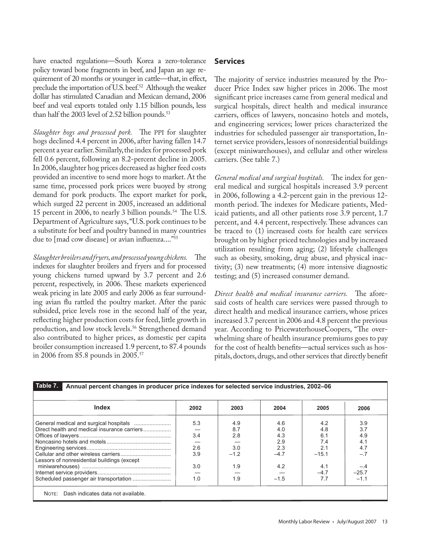have enacted regulations—South Korea a zero-tolerance policy toward bone fragments in beef, and Japan an age requirement of 20 months or younger in cattle—that, in effect, preclude the importation of U.S. beef.<sup>52</sup> Although the weaker dollar has stimulated Canadian and Mexican demand, 2006 beef and veal exports totaled only 1.15 billion pounds, less than half the 2003 level of 2.52 billion pounds. $53$ 

*Slaughter hogs and processed pork.* The PPI for slaughter hogs declined 4.4 percent in 2006, after having fallen 14.7 percent a year earlier. Similarly, the index for processed pork fell 0.6 percent, following an 8.2-percent decline in 2005. In 2006, slaughter hog prices decreased as higher feed costs provided an incentive to send more hogs to market. At the same time, processed pork prices were buoyed by strong demand for pork products. The export market for pork, which surged 22 percent in 2005, increased an additional 15 percent in 2006, to nearly 3 billion pounds.<sup>54</sup> The U.S. Department of Agriculture says, "U.S. pork continues to be a substitute for beef and poultry banned in many countries due to [mad cow disease] or avian influenza...."<sup>55</sup>

*Slaughter broilers and fryers, and processed young chickens.* The indexes for slaughter broilers and fryers and for processed young chickens turned upward by 3.7 percent and 2.6 percent, respectively, in 2006. These markets experienced weak pricing in late 2005 and early 2006 as fear surrounding avian flu rattled the poultry market. After the panic subsided, price levels rose in the second half of the year, reflecting higher production costs for feed, little growth in production, and low stock levels.<sup>56</sup> Strengthened demand also contributed to higher prices, as domestic per capita broiler consumption increased 1.9 percent, to 87.4 pounds in 2006 from 85.8 pounds in 2005.57

## **Services**

The majority of service industries measured by the Producer Price Index saw higher prices in 2006. The most significant price increases came from general medical and surgical hospitals, direct health and medical insurance carriers, offices of lawyers, noncasino hotels and motels, and engineering services; lower prices characterized the industries for scheduled passenger air transportation, Internet service providers, lessors of nonresidential buildings (except miniwarehouses), and cellular and other wireless carriers. (See table 7.)

*General medical and surgical hospitals.* The index for general medical and surgical hospitals increased 3.9 percent in 2006, following a 4.2-percent gain in the previous 12 month period. The indexes for Medicare patients, Medicaid patients, and all other patients rose 3.9 percent, 1.7 percent, and 4.4 percent, respectively. These advances can be traced to (1) increased costs for health care services brought on by higher priced technologies and by increased utilization resulting from aging; (2) lifestyle challenges such as obesity, smoking, drug abuse, and physical inactivity; (3) new treatments; (4) more intensive diagnostic testing; and (5) increased consumer demand.

*Direct health and medical insurance carriers.* The aforesaid costs of health care services were passed through to direct health and medical insurance carriers, whose prices increased 3.7 percent in 2006 and 4.8 percent the previous year. According to PricewaterhouseCoopers, "The overwhelming share of health insurance premiums goes to pay for the cost of health benefits—actual services such as hospitals, doctors, drugs, and other services that directly benefit

| <b>Index</b>                                 | 2002 | 2003   | 2004   | 2005    | 2006    |
|----------------------------------------------|------|--------|--------|---------|---------|
|                                              | 5.3  | 4.9    | 4.6    | 4.2     | 3.9     |
| Direct health and medical insurance carriers |      | 8.7    | 4.0    | 4.8     | 3.7     |
|                                              | 3.4  | 2.8    | 4.3    | 6.1     | 4.9     |
|                                              |      |        | 2.9    | 7.4     | 4.1     |
|                                              | 2.6  | 3.0    | 2.3    | 2.1     | 4.7     |
| Lessors of nonresidential buildings (except  | 3.9  | $-1.2$ | $-4.7$ | $-15.1$ | $-.7$   |
|                                              | 3.0  | 1.9    | 4.2    | 4.1     | $-.4$   |
|                                              |      |        |        | $-4.7$  | $-25.7$ |
|                                              | 1.0  | 1.9    | $-1.5$ | 77      | $-1.1$  |

Monthly Labor Review • July/August 2007 13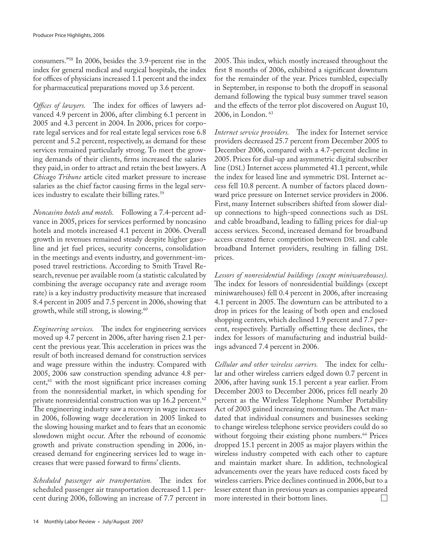consumers."58 In 2006, besides the 3.9-percent rise in the index for general medical and surgical hospitals, the index for offices of physicians increased 1.1 percent and the index for pharmaceutical preparations moved up 3.6 percent.

*Offices of lawyers.* The index for offices of lawyers advanced 4.9 percent in 2006, after climbing 6.1 percent in 2005 and 4.3 percent in 2004. In 2006, prices for corporate legal services and for real estate legal services rose 6.8 percent and 5.2 percent, respectively, as demand for these services remained particularly strong. To meet the growing demands of their clients, firms increased the salaries they paid, in order to attract and retain the best lawyers. A *Chicago Tribune* article cited market pressure to increase salaries as the chief factor causing firms in the legal services industry to escalate their billing rates.<sup>59</sup>

*Noncasino hotels and motels.* Following a 7.4-percent advance in 2005, prices for services performed by noncasino hotels and motels increased 4.1 percent in 2006. Overall growth in revenues remained steady despite higher gasoline and jet fuel prices, security concerns, consolidation in the meetings and events industry, and government-imposed travel restrictions. According to Smith Travel Research, revenue per available room (a statistic calculated by combining the average occupancy rate and average room rate) is a key industry productivity measure that increased 8.4 percent in 2005 and 7.5 percent in 2006, showing that growth, while still strong, is slowing.<sup>60</sup>

*Engineering services.* The index for engineering services moved up 4.7 percent in 2006, after having risen 2.1 percent the previous year. This acceleration in prices was the result of both increased demand for construction services and wage pressure within the industry. Compared with 2005, 2006 saw construction spending advance 4.8 per $cent<sub>1</sub><sup>61</sup>$  with the most significant price increases coming from the nonresidential market, in which spending for private nonresidential construction was up 16.2 percent.<sup>62</sup> The engineering industry saw a recovery in wage increases in 2006, following wage deceleration in 2005 linked to the slowing housing market and to fears that an economic slowdown might occur. After the rebound of economic growth and private construction spending in 2006, increased demand for engineering services led to wage increases that were passed forward to firms' clients.

*Scheduled passenger air transportation.* The index for scheduled passenger air transportation decreased 1.1 percent during 2006, following an increase of 7.7 percent in

2005. This index, which mostly increased throughout the first 8 months of 2006, exhibited a significant downturn for the remainder of the year. Prices tumbled, especially in September, in response to both the dropoff in seasonal demand following the typical busy summer travel season and the effects of the terror plot discovered on August 10, 2006, in London. 63

*Internet service providers.* The index for Internet service providers decreased 25.7 percent from December 2005 to December 2006, compared with a 4.7-percent decline in 2005. Prices for dial-up and asymmetric digital subscriber line (DSL) Internet access plummeted 41.1 percent, while the index for leased line and symmetric DSL Internet access fell 10.8 percent. A number of factors placed downward price pressure on Internet service providers in 2006. First, many Internet subscribers shifted from slower dialup connections to high-speed connections such as DSL and cable broadband, leading to falling prices for dial-up access services. Second, increased demand for broadband access created fierce competition between DSL and cable broadband Internet providers, resulting in falling DSL prices.

*Lessors of nonresidential buildings (except miniwarehouses).*  The index for lessors of nonresidential buildings (except miniwarehouses) fell 0.4 percent in 2006, after increasing 4.1 percent in 2005. The downturn can be attributed to a drop in prices for the leasing of both open and enclosed shopping centers, which declined 1.9 percent and 7.7 percent, respectively. Partially offsetting these declines, the index for lessors of manufacturing and industrial buildings advanced 7.4 percent in 2006.

*Cellular and other wireless carriers.* The index for cellular and other wireless carriers edged down 0.7 percent in 2006, after having sunk 15.1 percent a year earlier. From December 2003 to December 2006, prices fell nearly 20 percent as the Wireless Telephone Number Portability Act of 2003 gained increasing momentum. The Act mandated that individual consumers and businesses seeking to change wireless telephone service providers could do so without forgoing their existing phone numbers.<sup>64</sup> Prices dropped 15.1 percent in 2005 as major players within the wireless industry competed with each other to capture and maintain market share. In addition, technological advancements over the years have reduced costs faced by wireless carriers. Price declines continued in 2006, but to a lesser extent than in previous years as companies appeared more interested in their bottom lines. $\Box$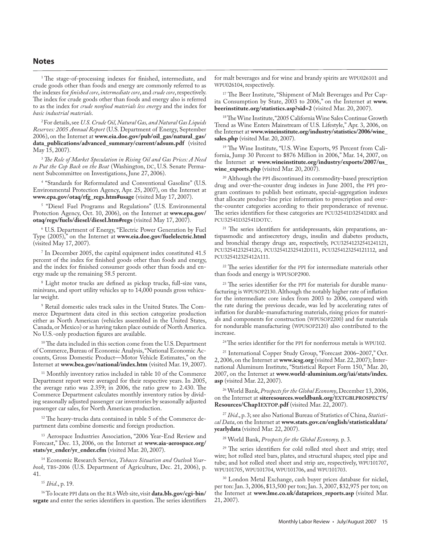<sup>1</sup> The stage-of-processing indexes for finished, intermediate, and crude goods other than foods and energy are commonly referred to as the indexes for *finished core*, *intermediate core*, and *crude core*, respectively. The index for crude goods other than foods and energy also is referred to as the index for *crude nonfood materials less energy* and the index for *basic industrial materials*.

2 For details, see *U.S. Crude Oil, Natural Gas, and Natural Gas Liquids Reserves: 2005 Annual Report* (U.S. Department of Energy, September 2006), on the Internet at **www.eia.doe.gov/pub/oil\_gas/natural\_gas/ data\_publications/advanced\_summary/current/adsum.pdf** (visited May 15, 2007).

<sup>3</sup>*The Role of Market Speculation in Rising Oil and Gas Prices: A Need to Put the Cop Back on the Beat* (Washington, DC, U.S. Senate Permanent Subcommittee on Investigations, June 27, 2006).

4 "Standards for Reformulated and Conventional Gasoline" (U.S. Environmental Protection Agency, Apr. 25, 2007), on the Internet at **www.epa.gov/otaq/rfg\_regs.htm#usage** (visited May 17, 2007).

5 "Diesel Fuel Programs and Regulations" (U.S. Environmental Protection Agency, Oct. 10, 2006), on the Internet at **www.epa.gov/ otaq/regs/fuels/diesel/diesel.htm#regs** (visited May 17, 2007).

6 U.S. Department of Energy, "Electric Power Generation by Fuel Type (2005)," on the Internet at **www.eia.doe.gov/fuelelectric.html**  (visited May 17, 2007).

7 In December 2005, the capital equipment index constituted 41.5 percent of the index for finished goods other than foods and energy, and the index for finished consumer goods other than foods and energy made up the remaining 58.5 percent.

8 Light motor trucks are defined as pickup trucks, full-size vans, minivans, and sport utility vehicles up to 14,000 pounds gross vehicular weight.

9 Retail domestic sales track sales in the United States. The Commerce Department data cited in this section categorize production either as North American (vehicles assembled in the United States, Canada, or Mexico) or as having taken place outside of North America. No U.S.-only production figures are available.

<sup>10</sup> The data included in this section come from the U.S. Department of Commerce, Bureau of Economic Analysis, "National Economic Accounts, Gross Domestic Product—Motor Vehicle Estimates," on the Internet at **www.bea.gov/national/index.htm** (visited Mar. 19, 2007).

<sup>11</sup> Monthly inventory ratios included in table 10 of the Commerce Department report were averaged for their respective years. In 2005, the average ratio was 2.359; in 2006, the ratio grew to 2.430. The Commerce Department calculates monthly inventory ratios by dividing seasonally adjusted passenger car inventories by seasonally adjusted passenger car sales, for North American production.

<sup>12</sup> The heavy-trucks data contained in table 5 of the Commerce department data combine domestic and foreign production.

<sup>13</sup> Aerospace Industries Association, "2006 Year-End Review and Forecast," Dec. 13, 2006, on the Internet at **www.aia-aerospace.org/ stats/yr\_ender/yr\_ender.cfm** (visited Mar. 20, 2007).

14 Economic Research Service, *Tobacco Situation and Outlook Yearbook*, TBS-2006 (U.S. Department of Agriculture, Dec. 21, 2006), p. 41.

<sup>15</sup> *Ibid*., p. 19.

16 To locate PPI data on the BLS Web site, visit **data.bls.gov/cgi-bin/ srgate** and enter the series identifiers in question. The series identifiers

for malt beverages and for wine and brandy spirits are WPU026101 and WPU026104, respectively.

<sup>17</sup> The Beer Institute, "Shipment of Malt Beverages and Per Capita Consumption by State, 2003 to 2006," on the Internet at **www. beerinstitute.org/statistics.asp?sid=2** (visited Mar. 20, 2007).

18 The Wine Institute, "2005 California Wine Sales Continue Growth Trend as Wine Enters Mainstream of U.S. Lifestyle," Apr. 3, 2006, on the Internet at **www.wineinstitute.org/industry/statistics/2006/wine\_ sales.php** (visited Mar. 20, 2007).

19 The Wine Institute, "U.S. Wine Exports, 95 Percent from California, Jump 30 Percent to \$876 Million in 2006," Mar. 14, 2007, on the Internet at **www.wineinstitute.org/industry/exports/2007/us\_ wine\_exports.php** (visited Mar. 20, 2007).

<sup>20</sup> Although the PPI discontinued its commodity-based prescription drug and over-the-counter drug indexes in June 2001, the PPI program continues to publish best estimate, special-aggregation indexes that allocate product-line price information to prescription and overthe-counter categories according to their preponderance of revenue. The series identifiers for these categories are PCU32541D32541DRX and PCU32541D32541DOTC.

<sup>21</sup> The series identifiers for antidepressants, skin preparations, antispasmodic and antisecretory drugs, insulin and diabetes products, and bronchial therapy drugs are, respectively, PCU32541232541241121, PCU325412325412G, PCU325412325412D111, PCU3254123254121112, and PCU325412325412A111.

<sup>22</sup> The series identifier for the PPI for intermediate materials other than foods and energy is WPUSOP2900.

 $23$  The series identifier for the PPI for materials for durable manufacturing is WPUSOP2130. Although the notably higher rate of inflation for the intermediate core index from 2003 to 2006, compared with the rate during the previous decade, was led by accelerating rates of inflation for durable-manufacturing materials, rising prices for materials and components for construction (WPUSOP2200) and for materials for nondurable manufacturing (WPUSOP2120) also contributed to the increase.

<sup>24</sup> The series identifier for the PPI for nonferrous metals is WPU102.

25 International Copper Study Group, "Forecast 2006–2007," Oct. 2, 2006, on the Internet at **www.icsg.org** (visited Mar. 22, 2007); International Aluminum Institute, "Statistical Report Form 150," Mar. 20, 2007, on the Internet at **www.world-aluminium.org/iai/stats/index. asp** (visited Mar. 22, 2007).

26 World Bank, *Prospects for the Global Economy*, December 13, 2006, on the Internet at **siteresources.worldbank.org/EXTGBLPROSPECTS/ Resources/Chap1EXTOP.pdf** (visited Mar. 22, 2007).

<sup>27</sup> *Ibid*., p. 3; see also National Bureau of Statistics of China, *Statistical Data*, on the Internet at **www.stats.gov.cn/english/statisticaldata/ yearlydata** (visited Mar. 22, 2007).

28 World Bank, *Prospects for the Global Economy,* p. 3.

<sup>29</sup> The series identifiers for cold rolled steel sheet and strip; steel wire; hot rolled steel bars, plates, and structural shapes; steel pipe and tube; and hot rolled steel sheet and strip are, respectively, WPU101707, WPU101705, WPU101704, WPU101706, and WPU101703.

30 London Metal Exchange, cash buyer prices database for nickel, per ton: Jan. 3, 2006, \$13,500 per ton; Jan. 3, 2007, \$32,975 per ton; on the Internet at **www.lme.co.uk/dataprices\_reports.asp** (visited Mar. 21, 2007).